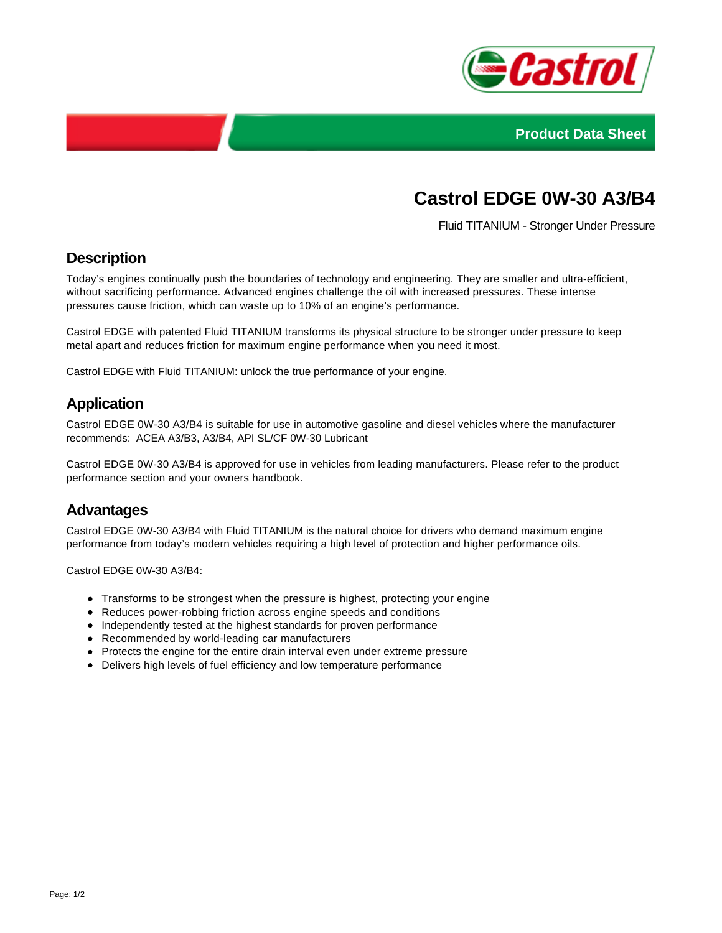



# **Castrol EDGE 0W-30 A3/B4**

Fluid TITANIUM - Stronger Under Pressure

#### **Description**

Today's engines continually push the boundaries of technology and engineering. They are smaller and ultra-efficient, without sacrificing performance. Advanced engines challenge the oil with increased pressures. These intense pressures cause friction, which can waste up to 10% of an engine's performance.

Castrol EDGE with patented Fluid TITANIUM transforms its physical structure to be stronger under pressure to keep metal apart and reduces friction for maximum engine performance when you need it most.

Castrol EDGE with Fluid TITANIUM: unlock the true performance of your engine.

#### **Application**

Castrol EDGE 0W-30 A3/B4 is suitable for use in automotive gasoline and diesel vehicles where the manufacturer recommends: ACEA A3/B3, A3/B4, API SL/CF 0W-30 Lubricant

Castrol EDGE 0W-30 A3/B4 is approved for use in vehicles from leading manufacturers. Please refer to the product performance section and your owners handbook.

#### **Advantages**

Castrol EDGE 0W-30 A3/B4 with Fluid TITANIUM is the natural choice for drivers who demand maximum engine performance from today's modern vehicles requiring a high level of protection and higher performance oils.

Castrol EDGE 0W-30 A3/B4:

- Transforms to be strongest when the pressure is highest, protecting your engine
- Reduces power-robbing friction across engine speeds and conditions
- Independently tested at the highest standards for proven performance
- Recommended by world-leading car manufacturers
- Protects the engine for the entire drain interval even under extreme pressure
- Delivers high levels of fuel efficiency and low temperature performance